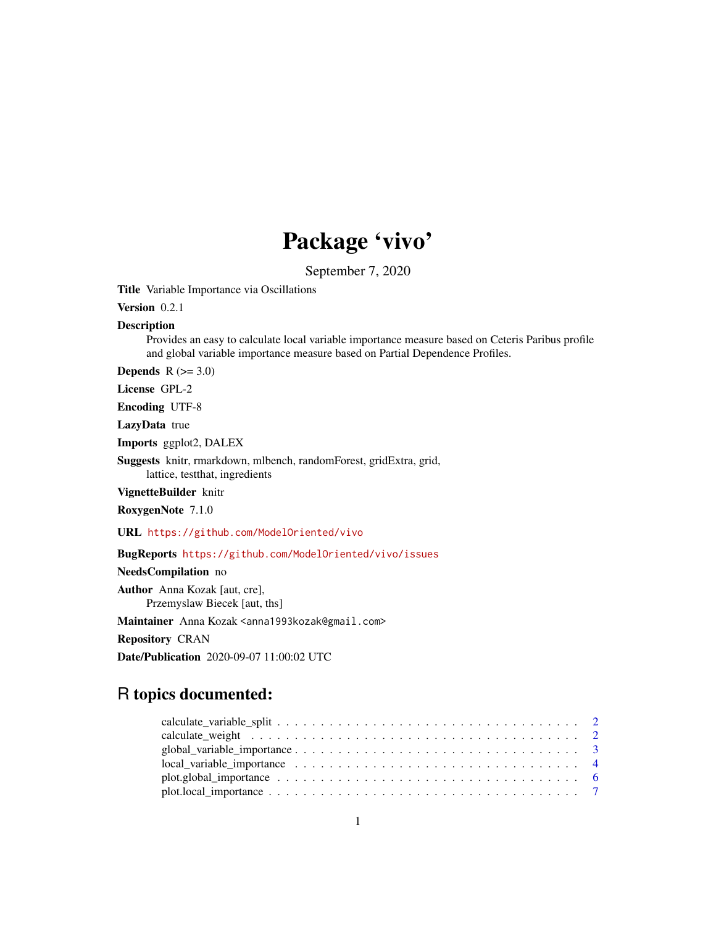## Package 'vivo'

September 7, 2020

Title Variable Importance via Oscillations

Version 0.2.1

#### Description

Provides an easy to calculate local variable importance measure based on Ceteris Paribus profile and global variable importance measure based on Partial Dependence Profiles.

Depends  $R$  ( $>= 3.0$ )

License GPL-2

Encoding UTF-8

LazyData true

Imports ggplot2, DALEX

Suggests knitr, rmarkdown, mlbench, randomForest, gridExtra, grid, lattice, testthat, ingredients

VignetteBuilder knitr

RoxygenNote 7.1.0

URL <https://github.com/ModelOriented/vivo>

BugReports <https://github.com/ModelOriented/vivo/issues>

NeedsCompilation no

Author Anna Kozak [aut, cre], Przemyslaw Biecek [aut, ths]

Maintainer Anna Kozak <anna1993kozak@gmail.com>

Repository CRAN

Date/Publication 2020-09-07 11:00:02 UTC

### R topics documented: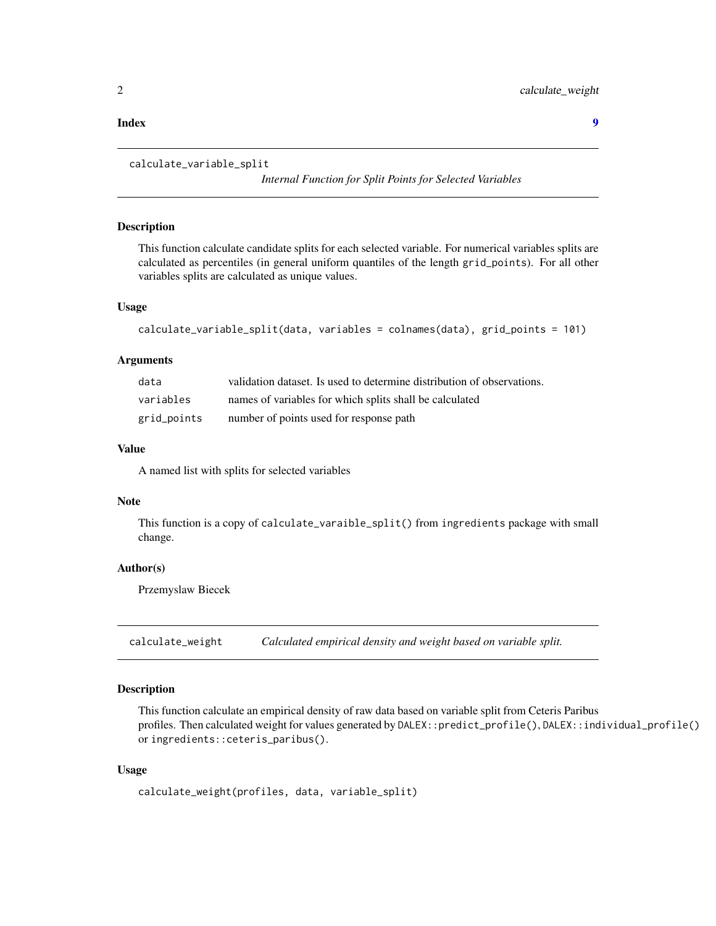#### <span id="page-1-0"></span>**Index** [9](#page-8-0)

```
calculate_variable_split
```
*Internal Function for Split Points for Selected Variables*

#### Description

This function calculate candidate splits for each selected variable. For numerical variables splits are calculated as percentiles (in general uniform quantiles of the length grid\_points). For all other variables splits are calculated as unique values.

#### Usage

```
calculate_variable_split(data, variables = colnames(data), grid_points = 101)
```
#### Arguments

| data        | validation dataset. Is used to determine distribution of observations. |
|-------------|------------------------------------------------------------------------|
| variables   | names of variables for which splits shall be calculated                |
| grid_points | number of points used for response path                                |

#### Value

A named list with splits for selected variables

#### Note

This function is a copy of calculate\_varaible\_split() from ingredients package with small change.

#### Author(s)

Przemyslaw Biecek

calculate\_weight *Calculated empirical density and weight based on variable split.*

#### Description

This function calculate an empirical density of raw data based on variable split from Ceteris Paribus profiles. Then calculated weight for values generated by DALEX::predict\_profile(), DALEX::individual\_profile() or ingredients::ceteris\_paribus().

#### Usage

```
calculate_weight(profiles, data, variable_split)
```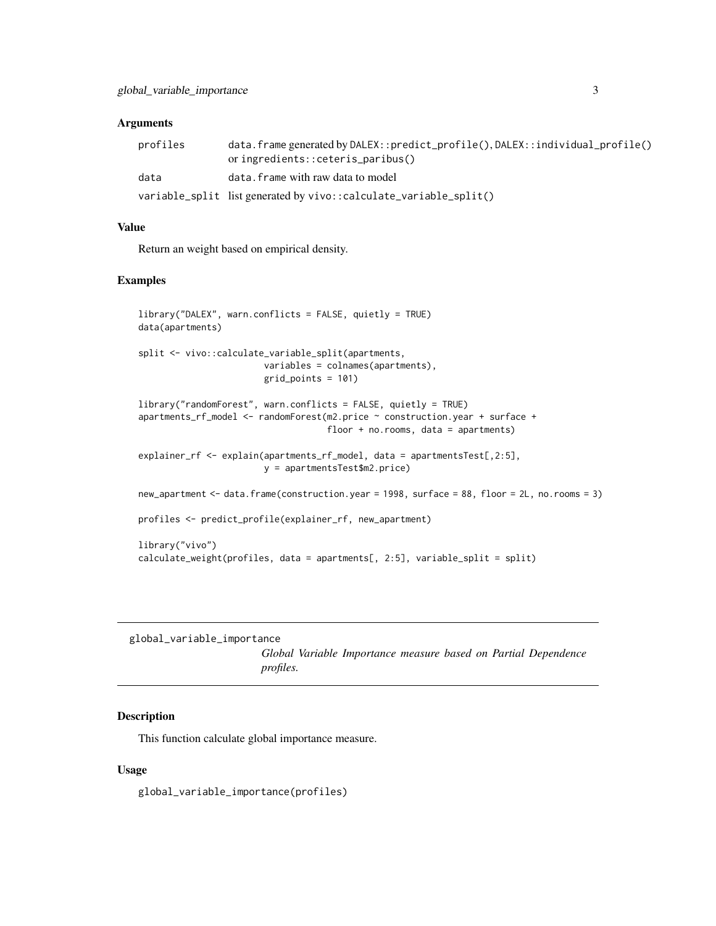#### <span id="page-2-0"></span>**Arguments**

| profiles | data.frame generated by DALEX::predict_profile(), DALEX::individual_profile()<br>or ingredients::ceteris_paribus() |
|----------|--------------------------------------------------------------------------------------------------------------------|
| data     | data. frame with raw data to model                                                                                 |
|          | variable_split list generated by vivo::calculate_variable_split()                                                  |

#### Value

Return an weight based on empirical density.

#### Examples

```
library("DALEX", warn.conflicts = FALSE, quietly = TRUE)
data(apartments)
split <- vivo::calculate_variable_split(apartments,
                        variables = colnames(apartments),
                        grid_points = 101)
library("randomForest", warn.conflicts = FALSE, quietly = TRUE)
apartments_rf_model <- randomForest(m2.price ~ construction.year + surface +
                                    floor + no.rooms, data = apartments)
explainer_rf <- explain(apartments_rf_model, data = apartmentsTest[,2:5],
                        y = apartmentsTest$m2.price)
new_apartment <- data.frame(construction.year = 1998, surface = 88, floor = 2L, no.rooms = 3)
profiles <- predict_profile(explainer_rf, new_apartment)
library("vivo")
calculate_weight(profiles, data = apartments[, 2:5], variable_split = split)
```
global\_variable\_importance

*Global Variable Importance measure based on Partial Dependence profiles.*

#### Description

This function calculate global importance measure.

#### Usage

global\_variable\_importance(profiles)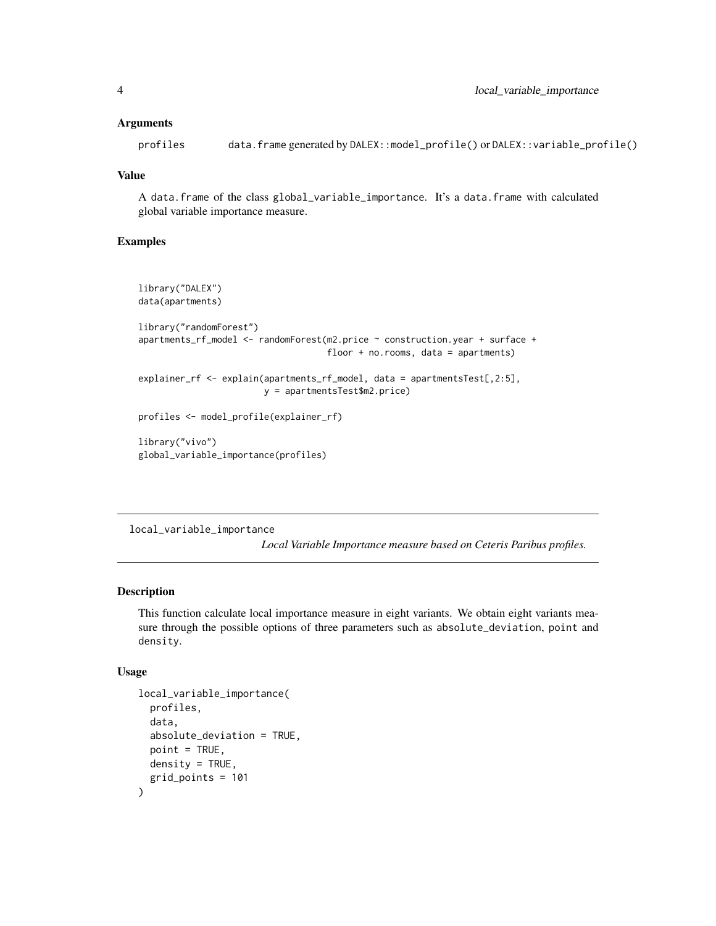#### <span id="page-3-0"></span>**Arguments**

profiles data.frame generated by DALEX::model\_profile() or DALEX::variable\_profile()

#### Value

A data.frame of the class global\_variable\_importance. It's a data.frame with calculated global variable importance measure.

#### Examples

```
library("DALEX")
data(apartments)
library("randomForest")
apartments_rf_model <- randomForest(m2.price ~ construction.year + surface +
                                    floor + no.rooms, data = apartments)
explainer_rf <- explain(apartments_rf_model, data = apartmentsTest[,2:5],
                        y = apartmentsTest$m2.price)
profiles <- model_profile(explainer_rf)
library("vivo")
global_variable_importance(profiles)
```
local\_variable\_importance

*Local Variable Importance measure based on Ceteris Paribus profiles.*

#### Description

This function calculate local importance measure in eight variants. We obtain eight variants measure through the possible options of three parameters such as absolute\_deviation, point and density.

#### Usage

```
local_variable_importance(
 profiles,
  data,
  absolute_deviation = TRUE,
 point = TRUE,
 density = TRUE,grid_points = 101
)
```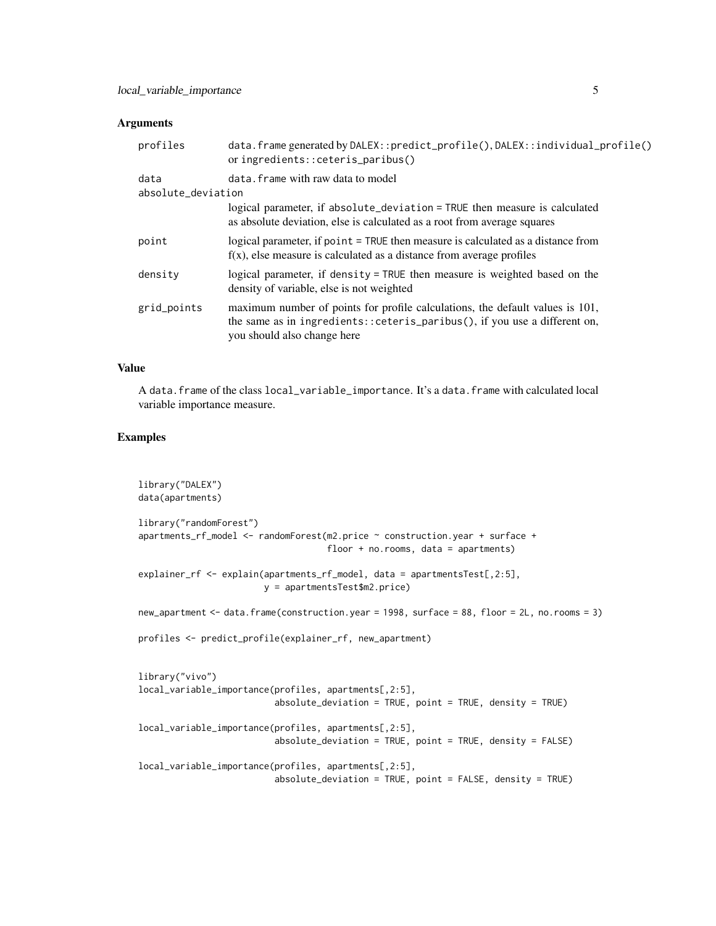#### **Arguments**

| profiles                   | data.frame generated by DALEX::predict_profile(), DALEX::individual_profile()<br>or ingredients::ceteris_paribus()                                                                             |
|----------------------------|------------------------------------------------------------------------------------------------------------------------------------------------------------------------------------------------|
| data<br>absolute_deviation | data. frame with raw data to model                                                                                                                                                             |
|                            | logical parameter, if absolute_deviation = TRUE then measure is calculated<br>as absolute deviation, else is calculated as a root from average squares                                         |
| point                      | logical parameter, if point = TRUE then measure is calculated as a distance from<br>$f(x)$ , else measure is calculated as a distance from average profiles                                    |
| density                    | logical parameter, if density = TRUE then measure is weighted based on the<br>density of variable, else is not weighted                                                                        |
| grid_points                | maximum number of points for profile calculations, the default values is 101,<br>the same as in ingredients:: $ceteris\_paribus()$ , if you use a different on,<br>you should also change here |

#### Value

A data.frame of the class local\_variable\_importance. It's a data.frame with calculated local variable importance measure.

#### Examples

```
library("DALEX")
data(apartments)
library("randomForest")
apartments_rf_model <- randomForest(m2.price ~ construction.year + surface +
                                    floor + no.rooms, data = apartments)
explainer_rf <- explain(apartments_rf_model, data = apartmentsTest[,2:5],
                        y = apartmentsTest$m2.price)
new_apartment <- data.frame(construction.year = 1998, surface = 88, floor = 2L, no.rooms = 3)
profiles <- predict_profile(explainer_rf, new_apartment)
library("vivo")
local_variable_importance(profiles, apartments[,2:5],
                          absolute_deviation = TRUE, point = TRUE, density = TRUE)
local_variable_importance(profiles, apartments[,2:5],
                          absolute_deviation = TRUE, point = TRUE, density = FALSE)
local_variable_importance(profiles, apartments[,2:5],
                          absolute_deviation = TRUE, point = FALSE, density = TRUE)
```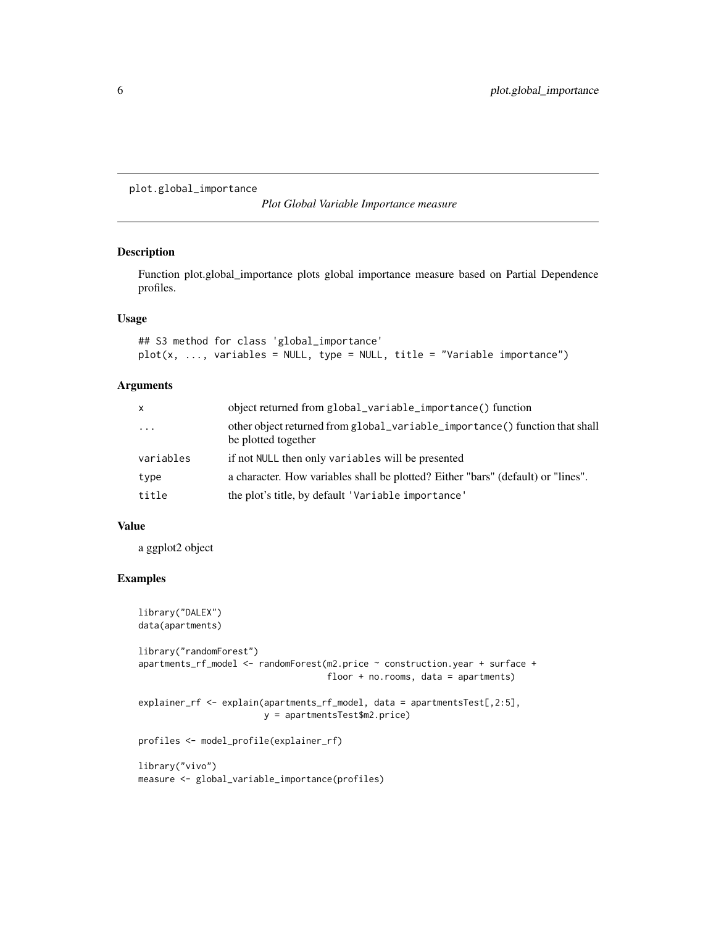<span id="page-5-0"></span>plot.global\_importance

*Plot Global Variable Importance measure*

#### Description

Function plot.global\_importance plots global importance measure based on Partial Dependence profiles.

#### Usage

```
## S3 method for class 'global_importance'
plot(x, ..., variables = NULL, type = NULL, title = "Variable importance")
```
#### Arguments

| $\mathsf{x}$ | object returned from global_variable_importance() function                                         |
|--------------|----------------------------------------------------------------------------------------------------|
| $\cdots$     | other object returned from global_variable_importance() function that shall<br>be plotted together |
| variables    | if not NULL then only variables will be presented                                                  |
| type         | a character. How variables shall be plotted? Either "bars" (default) or "lines".                   |
| title        | the plot's title, by default 'Variable importance'                                                 |

#### Value

a ggplot2 object

#### Examples

```
library("DALEX")
data(apartments)
library("randomForest")
apartments_rf_model <- randomForest(m2.price ~ construction.year + surface +
                                    floor + no.rooms, data = apartments)
explainer_rf <- explain(apartments_rf_model, data = apartmentsTest[,2:5],
                        y = apartmentsTest$m2.price)
profiles <- model_profile(explainer_rf)
library("vivo")
```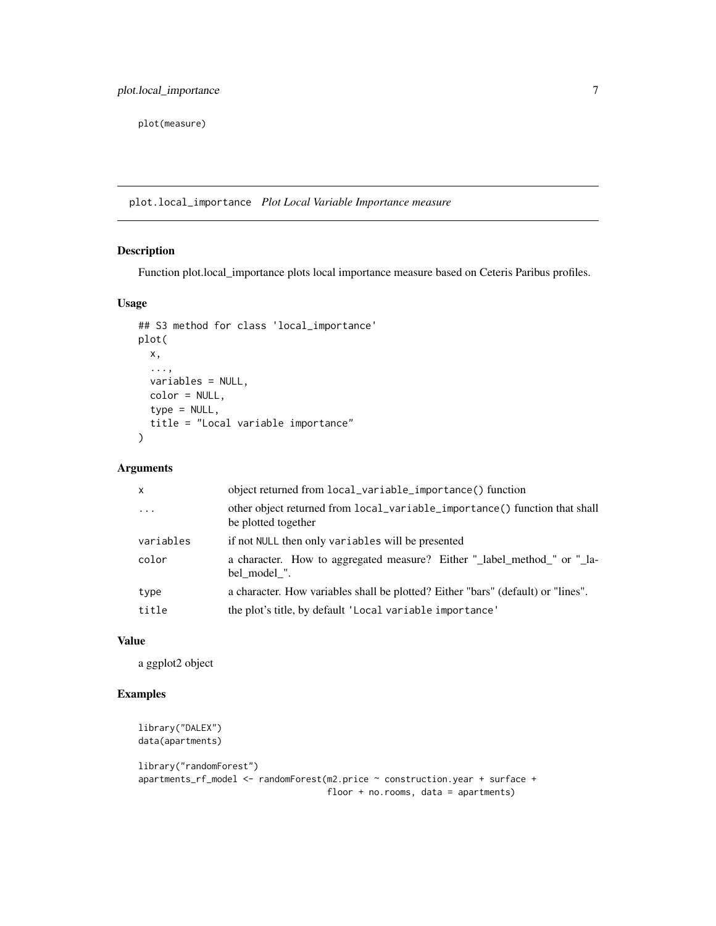<span id="page-6-0"></span>plot(measure)

plot.local\_importance *Plot Local Variable Importance measure*

#### Description

Function plot.local\_importance plots local importance measure based on Ceteris Paribus profiles.

#### Usage

```
## S3 method for class 'local_importance'
plot(
 x,
  ...,
 variables = NULL,
 color = NULL,
  type = NULL,title = "Local variable importance"
\mathcal{E}
```
#### Arguments

| $\mathsf{x}$ | object returned from local_variable_importance() function                                         |
|--------------|---------------------------------------------------------------------------------------------------|
| $\cdots$     | other object returned from local_variable_importance() function that shall<br>be plotted together |
| variables    | if not NULL then only variables will be presented                                                 |
| color        | a character. How to aggregated measure? Either "_label_method_" or "_la-<br>bel model ".          |
| type         | a character. How variables shall be plotted? Either "bars" (default) or "lines".                  |
| title        | the plot's title, by default 'Local variable importance'                                          |

#### Value

a ggplot2 object

#### Examples

```
library("DALEX")
data(apartments)
library("randomForest")
apartments_rf_model <- randomForest(m2.price ~ construction.year + surface +
                                    floor + no.rooms, data = apartments)
```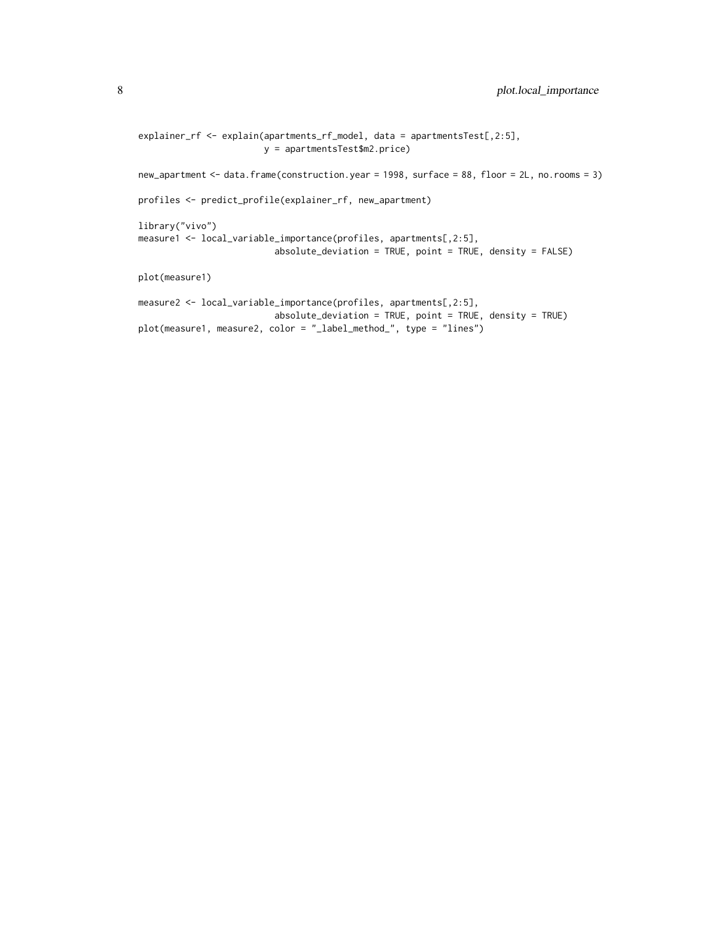```
explainer_rf <- explain(apartments_rf_model, data = apartmentsTest[,2:5],
                        y = apartmentsTest$m2.price)
new_apartment <- data.frame(construction.year = 1998, surface = 88, floor = 2L, no.rooms = 3)
profiles <- predict_profile(explainer_rf, new_apartment)
library("vivo")
measure1 <- local_variable_importance(profiles, apartments[,2:5],
                          absolute_deviation = TRUE, point = TRUE, density = FALSE)
plot(measure1)
measure2 <- local_variable_importance(profiles, apartments[,2:5],
                          absolute_deviation = TRUE, point = TRUE, density = TRUE)
plot(measure1, measure2, color = "_label_method_", type = "lines")
```